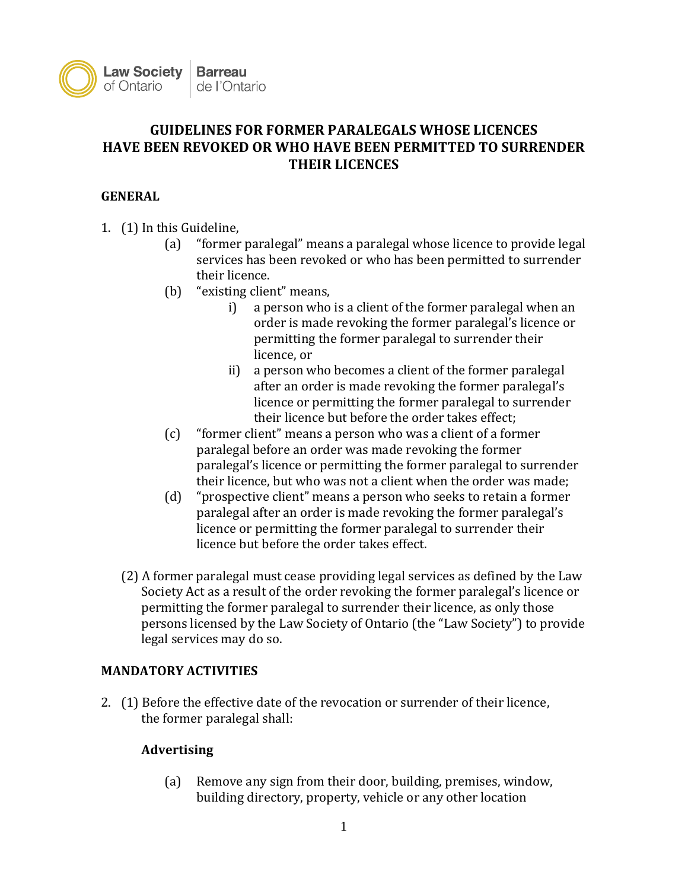

# **GUIDELINES FOR FORMER PARALEGALS WHOSE LICENCES HAVE BEEN REVOKED OR WHO HAVE BEEN PERMITTED TO SURRENDER THEIR LICENCES**

# **GENERAL**

- 1. (1) In this Guideline,
	- (a) "former paralegal" means a paralegal whose licence to provide legal services has been revoked or who has been permitted to surrender their licence.
	- (b) "existing client" means,
		- i) a person who is a client of the former paralegal when an order is made revoking the former paralegal's licence or permitting the former paralegal to surrender their licence, or
		- ii) a person who becomes a client of the former paralegal after an order is made revoking the former paralegal's licence or permitting the former paralegal to surrender their licence but before the order takes effect;
	- (c) "former client" means a person who was a client of a former paralegal before an order was made revoking the former paralegal's licence or permitting the former paralegal to surrender their licence, but who was not a client when the order was made;
	- (d) "prospective client" means a person who seeks to retain a former paralegal after an order is made revoking the former paralegal's licence or permitting the former paralegal to surrender their licence but before the order takes effect.
	- (2) A former paralegal must cease providing legal services as defined by the Law Society Act as a result of the order revoking the former paralegal's licence or permitting the former paralegal to surrender their licence, as only those persons licensed by the Law Society of Ontario (the "Law Society") to provide legal services may do so.

# **MANDATORY ACTIVITIES**

2. (1) Before the effective date of the revocation or surrender of their licence, the former paralegal shall:

#### **Advertising**

(a) Remove any sign from their door, building, premises, window, building directory, property, vehicle or any other location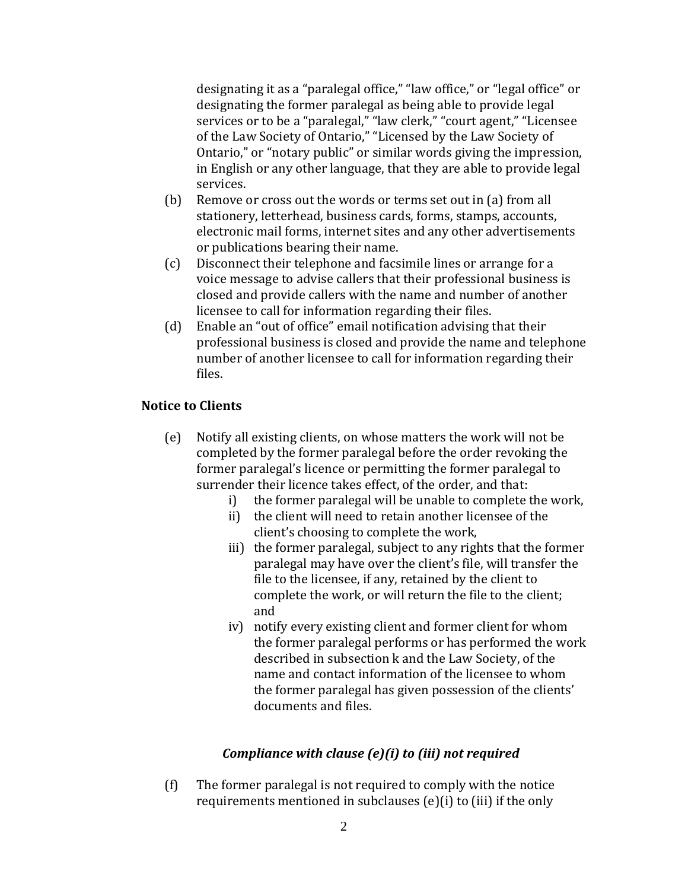designating it as a "paralegal office," "law office," or "legal office" or designating the former paralegal as being able to provide legal services or to be a "paralegal," "law clerk," "court agent," "Licensee of the Law Society of Ontario," "Licensed by the Law Society of Ontario," or "notary public" or similar words giving the impression, in English or any other language, that they are able to provide legal services.

- (b) Remove or cross out the words or terms set out in (a) from all stationery, letterhead, business cards, forms, stamps, accounts, electronic mail forms, internet sites and any other advertisements or publications bearing their name.
- (c) Disconnect their telephone and facsimile lines or arrange for a voice message to advise callers that their professional business is closed and provide callers with the name and number of another licensee to call for information regarding their files.
- (d) Enable an "out of office" email notification advising that their professional business is closed and provide the name and telephone number of another licensee to call for information regarding their files.

# **Notice to Clients**

- (e) Notify all existing clients, on whose matters the work will not be completed by the former paralegal before the order revoking the former paralegal's licence or permitting the former paralegal to surrender their licence takes effect, of the order, and that:
	- i) the former paralegal will be unable to complete the work,
	- ii) the client will need to retain another licensee of the client's choosing to complete the work,
	- iii) the former paralegal, subject to any rights that the former paralegal may have over the client's file, will transfer the file to the licensee, if any, retained by the client to complete the work, or will return the file to the client; and
	- iv) notify every existing client and former client for whom the former paralegal performs or has performed the work described in subsection k and the Law Society, of the name and contact information of the licensee to whom the former paralegal has given possession of the clients' documents and files.

# *Compliance with clause (e)(i) to (iii) not required*

(f) The former paralegal is not required to comply with the notice requirements mentioned in subclauses (e)(i) to (iii) if the only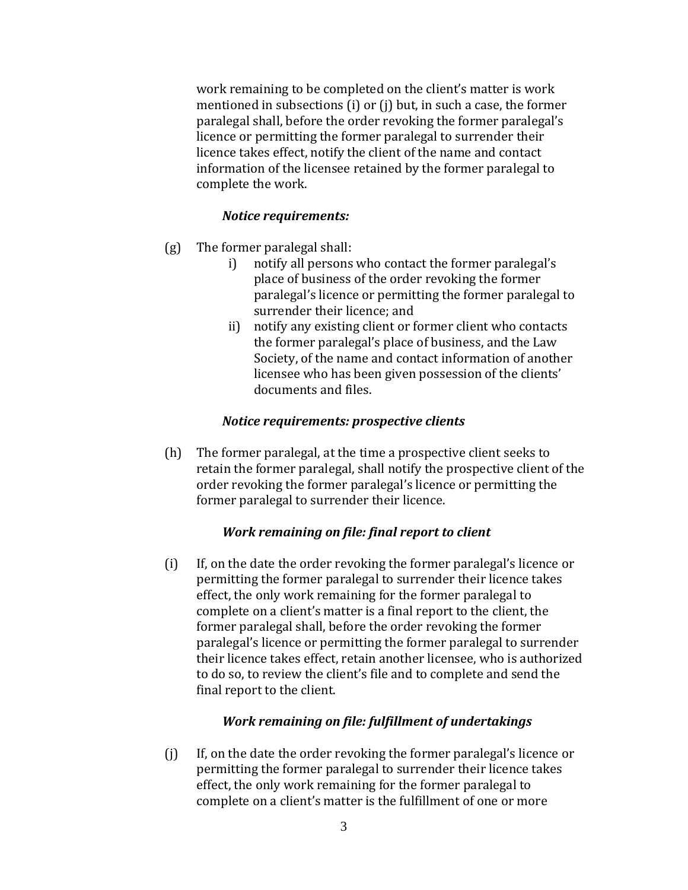work remaining to be completed on the client's matter is work mentioned in subsections (i) or (j) but, in such a case, the former paralegal shall, before the order revoking the former paralegal's licence or permitting the former paralegal to surrender their licence takes effect, notify the client of the name and contact information of the licensee retained by the former paralegal to complete the work.

#### *Notice requirements:*

- (g) The former paralegal shall:
	- i) notify all persons who contact the former paralegal's place of business of the order revoking the former paralegal's licence or permitting the former paralegal to surrender their licence; and
	- ii) notify any existing client or former client who contacts the former paralegal's place of business, and the Law Society, of the name and contact information of another licensee who has been given possession of the clients' documents and files.

#### *Notice requirements: prospective clients*

(h) The former paralegal, at the time a prospective client seeks to retain the former paralegal, shall notify the prospective client of the order revoking the former paralegal's licence or permitting the former paralegal to surrender their licence.

#### *Work remaining on file: final report to client*

(i) If, on the date the order revoking the former paralegal's licence or permitting the former paralegal to surrender their licence takes effect, the only work remaining for the former paralegal to complete on a client's matter is a final report to the client, the former paralegal shall, before the order revoking the former paralegal's licence or permitting the former paralegal to surrender their licence takes effect, retain another licensee, who is authorized to do so, to review the client's file and to complete and send the final report to the client.

# *Work remaining on file: fulfillment of undertakings*

(j) If, on the date the order revoking the former paralegal's licence or permitting the former paralegal to surrender their licence takes effect, the only work remaining for the former paralegal to complete on a client's matter is the fulfillment of one or more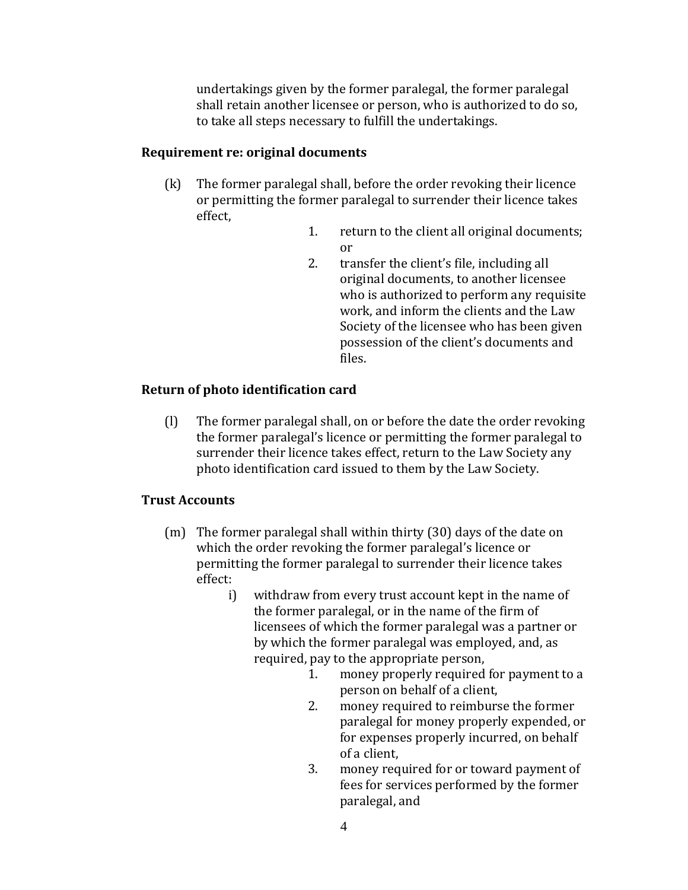undertakings given by the former paralegal, the former paralegal shall retain another licensee or person, who is authorized to do so, to take all steps necessary to fulfill the undertakings.

#### **Requirement re: original documents**

- (k) The former paralegal shall, before the order revoking their licence or permitting the former paralegal to surrender their licence takes effect,
	- 1. return to the client all original documents; or
	- 2. transfer the client's file, including all original documents, to another licensee who is authorized to perform any requisite work, and inform the clients and the Law Society of the licensee who has been given possession of the client's documents and files.

# **Return of photo identification card**

(l) The former paralegal shall, on or before the date the order revoking the former paralegal's licence or permitting the former paralegal to surrender their licence takes effect, return to the Law Society any photo identification card issued to them by the Law Society.

# **Trust Accounts**

- (m) The former paralegal shall within thirty (30) days of the date on which the order revoking the former paralegal's licence or permitting the former paralegal to surrender their licence takes effect:
	- i) withdraw from every trust account kept in the name of the former paralegal, or in the name of the firm of licensees of which the former paralegal was a partner or by which the former paralegal was employed, and, as required, pay to the appropriate person,
		- 1. money properly required for payment to a person on behalf of a client,
		- 2. money required to reimburse the former paralegal for money properly expended, or for expenses properly incurred, on behalf of a client,
		- 3. money required for or toward payment of fees for services performed by the former paralegal, and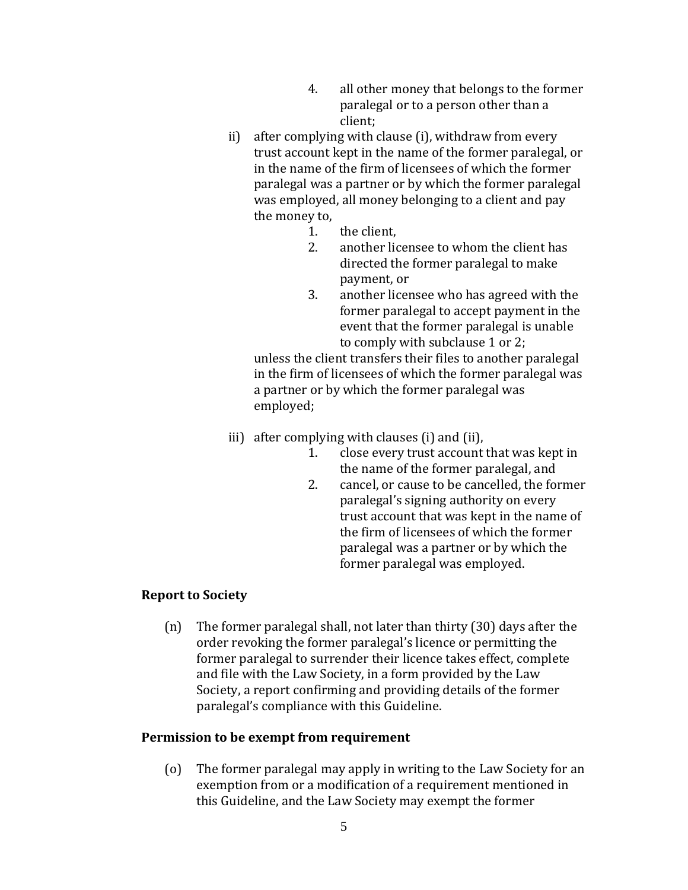- 4. all other money that belongs to the former paralegal or to a person other than a client;
- ii) after complying with clause (i), withdraw from every trust account kept in the name of the former paralegal, or in the name of the firm of licensees of which the former paralegal was a partner or by which the former paralegal was employed, all money belonging to a client and pay the money to,
	- 1. the client,
	- 2. another licensee to whom the client has directed the former paralegal to make payment, or
	- 3. another licensee who has agreed with the former paralegal to accept payment in the event that the former paralegal is unable to comply with subclause 1 or 2;

unless the client transfers their files to another paralegal in the firm of licensees of which the former paralegal was a partner or by which the former paralegal was employed;

- iii) after complying with clauses (i) and (ii),
	- 1. close every trust account that was kept in the name of the former paralegal, and
	- 2. cancel, or cause to be cancelled, the former paralegal's signing authority on every trust account that was kept in the name of the firm of licensees of which the former paralegal was a partner or by which the former paralegal was employed.

# **Report to Society**

(n) The former paralegal shall, not later than thirty (30) days after the order revoking the former paralegal's licence or permitting the former paralegal to surrender their licence takes effect, complete and file with the Law Society, in a form provided by the Law Society, a report confirming and providing details of the former paralegal's compliance with this Guideline.

#### **Permission to be exempt from requirement**

(o) The former paralegal may apply in writing to the Law Society for an exemption from or a modification of a requirement mentioned in this Guideline, and the Law Society may exempt the former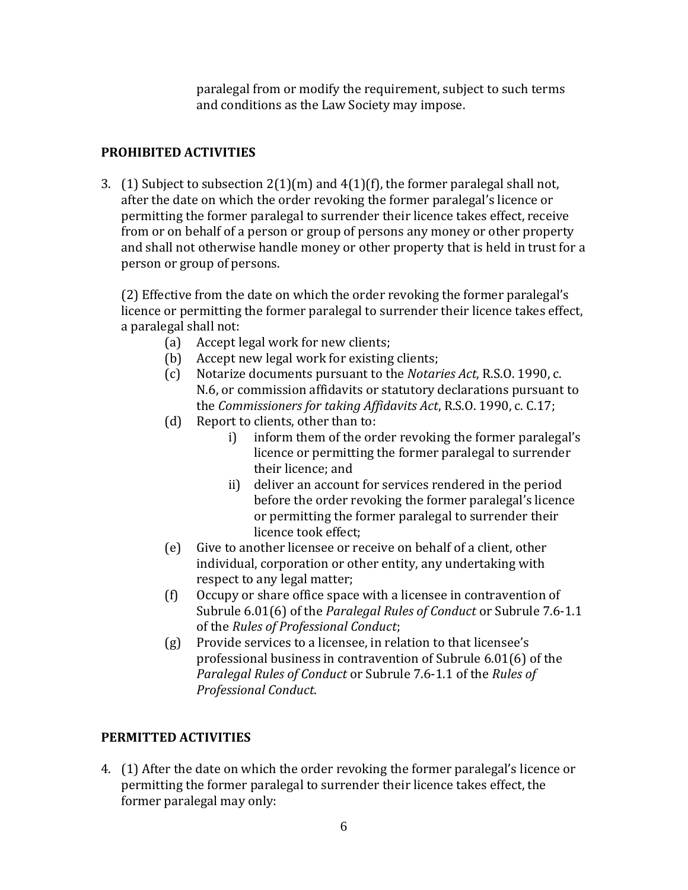paralegal from or modify the requirement, subject to such terms and conditions as the Law Society may impose.

# **PROHIBITED ACTIVITIES**

3. (1) Subject to subsection 2(1)(m) and 4(1)(f), the former paralegal shall not, after the date on which the order revoking the former paralegal's licence or permitting the former paralegal to surrender their licence takes effect, receive from or on behalf of a person or group of persons any money or other property and shall not otherwise handle money or other property that is held in trust for a person or group of persons.

(2) Effective from the date on which the order revoking the former paralegal's licence or permitting the former paralegal to surrender their licence takes effect, a paralegal shall not:

- (a) Accept legal work for new clients;
- (b) Accept new legal work for existing clients;
- (c) Notarize documents pursuant to the *Notaries Act*, R.S.O. 1990, c. N.6, or commission affidavits or statutory declarations pursuant to the *Commissioners for taking Affidavits Act*, R.S.O. 1990, c. C.17;
- (d) Report to clients, other than to:
	- i) inform them of the order revoking the former paralegal's licence or permitting the former paralegal to surrender their licence; and
	- ii) deliver an account for services rendered in the period before the order revoking the former paralegal's licence or permitting the former paralegal to surrender their licence took effect;
- (e) Give to another licensee or receive on behalf of a client, other individual, corporation or other entity, any undertaking with respect to any legal matter;
- (f) Occupy or share office space with a licensee in contravention of Subrule 6.01(6) of the *Paralegal Rules of Conduct* or Subrule 7.6-1.1 of the *Rules of Professional Conduct*;
- (g) Provide services to a licensee, in relation to that licensee's professional business in contravention of Subrule 6.01(6) of the *Paralegal Rules of Conduct* or Subrule 7.6-1.1 of the *Rules of Professional Conduct*.

# **PERMITTED ACTIVITIES**

4. (1) After the date on which the order revoking the former paralegal's licence or permitting the former paralegal to surrender their licence takes effect, the former paralegal may only: